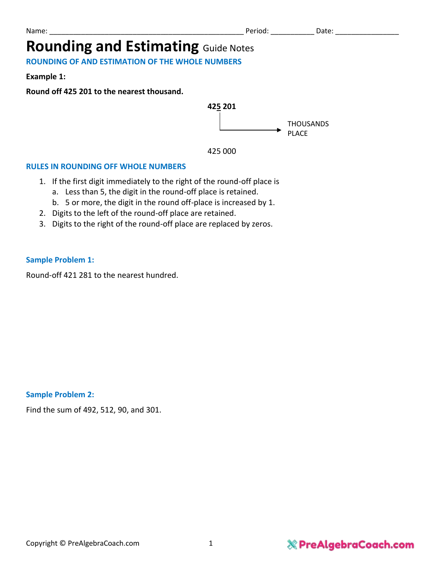# **Rounding and Estimating Guide Notes**

**ROUNDING OF AND ESTIMATION OF THE WHOLE NUMBERS**

**Example 1:**

**Round off 425 201 to the nearest thousand.** 





#### **RULES IN ROUNDING OFF WHOLE NUMBERS**

- 1. If the first digit immediately to the right of the round-off place is
	- a. Less than 5, the digit in the round-off place is retained.
	- b. 5 or more, the digit in the round off-place is increased by 1.
- 2. Digits to the left of the round-off place are retained.
- 3. Digits to the right of the round-off place are replaced by zeros.

#### **Sample Problem 1:**

Round-off 421 281 to the nearest hundred.

**Sample Problem 2:**

Find the sum of 492, 512, 90, and 301.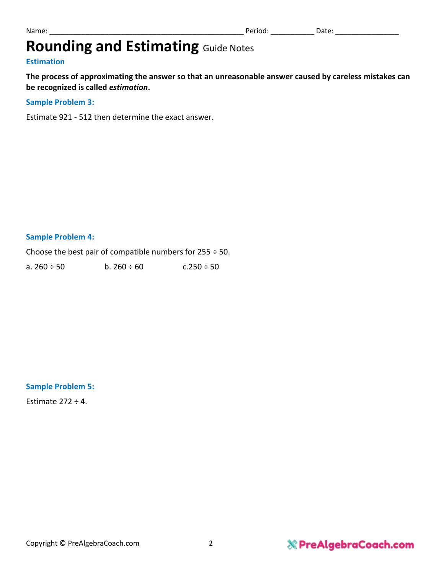# **Rounding and Estimating Guide Notes**

#### **Estimation**

**The process of approximating the answer so that an unreasonable answer caused by careless mistakes can be recognized is called** *estimation***.**

#### **Sample Problem 3:**

Estimate 921 - 512 then determine the exact answer.

#### **Sample Problem 4:**

Choose the best pair of compatible numbers for  $255 \div 50$ .

a.  $260 \div 50$  b.  $260 \div 60$  c.  $250 \div 50$ 

#### **Sample Problem 5:**

Estimate  $272 \div 4$ .